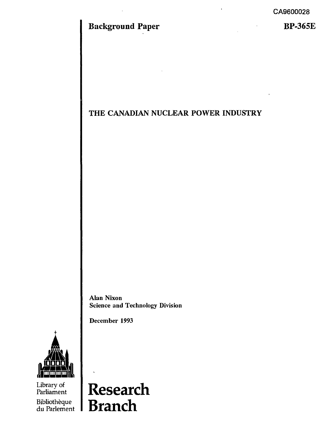# **Background Paper**

**BP-365E**

## **THE CANADIAN NUCLEAR POWER INDUSTRY**

 $\bar{\phantom{a}}$ 

Alan Nixon Science and Technology Division

December 1993



Library of Parliament Bibliothèque

du Parlement **BranchResearch**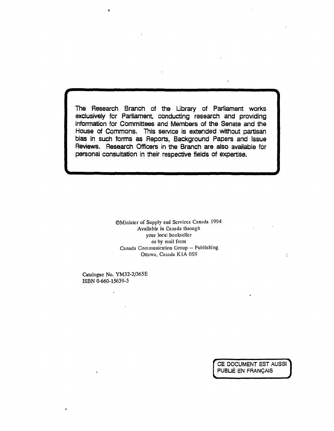The Research Branch of the Library of Parliament works exclusively for Parliament, conducting research and providing information for Committees and Members of the Senate and the House of Commons. This service is extended without partisan bias in such forms as Reports, Background Papers and Issue Reviews. Research Officers in the Branch are also available for personal consultation in their respective fields of expertise.

> ©Minister of Supply and Services Canada 1994 Available in Canada through your local bookseller or by mail from Canada Communication Group -- Publishing Ottawa, Canada K1A 0S9

Catalogue No. YM32-2/365E ISBN 0-660-15639-3

 $\ddot{\phantom{a}}$ 

CE DOCUMENT EST AUSSI PUBUÉ EN FRANÇAIS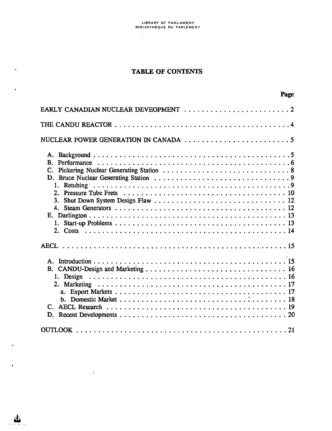$\sim$ 

 $\hat{\mathbf{v}}$ 

 $\mathbf{z}$ 

 $\ddot{\phantom{1}}$ 

 $\bar{\ell}$ 

 $\mathbf{d}_\mathbf{r}$ 

 $\sim$ 

## TABLE OF CONTENTS

Page

| B. Performance   |
|------------------|
|                  |
|                  |
| $\mathbf{4}_{1}$ |
|                  |
|                  |
|                  |
|                  |
| 1. Design        |
| 17               |
|                  |
|                  |
|                  |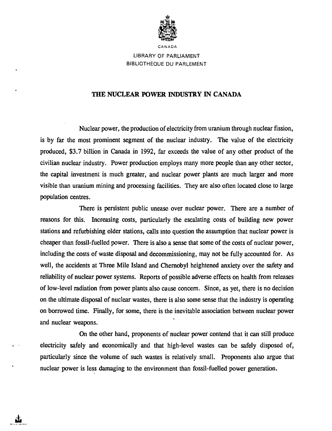

LIBRARY OF PARLIAMENT BIBLIOTHÈQUE DU PARLEMENT

#### **THE NUCLEAR POWER INDUSTRY IN CANADA**

Nuclear power, the production of electricity from uranium through nuclear fission, is by far the most prominent segment of the nuclear industry. The value of the electricity produced, \$3.7 billion in Canada in 1992, far exceeds the value of any other product of the civilian nuclear industry. Power production employs many more people than any other sector, the capital investment is much greater, and nuclear power plants are much larger and more visible than uranium mining and processing facilities. They are also often located close to large population centres.

There is persistent public unease over nuclear power. There are a number of reasons for this. Increasing costs, particularly the escalating costs of building new power stations and refurbishing older stations, calls into question the assumption that nuclear power is cheaper than fossil-fuelled power. There is also a sense that some of the costs of nuclear power, including the costs of waste disposal and decommissioning, may not be fully accounted for. As well, the accidents at Three Mile Island and Chernobyl heightened anxiety over the safety and reliability of nuclear power systems. Reports of possible adverse effects on health from releases of low-level radiation from power plants also cause concern. Since, as yet, there is no decision on the ultimate disposal of nuclear wastes, there is also some sense that the industry is operating on borrowed time. Finally, for some, there is the inevitable association between nuclear power and nuclear weapons.

On the other hand, proponents of nuclear power contend that it can still produce electricity safely and economically and that high-level wastes can be safely disposed of, particularly since the volume of such wastes is relatively small. Proponents also argue that nuclear power is less damaging to the environment than fossil-fuelled power generation.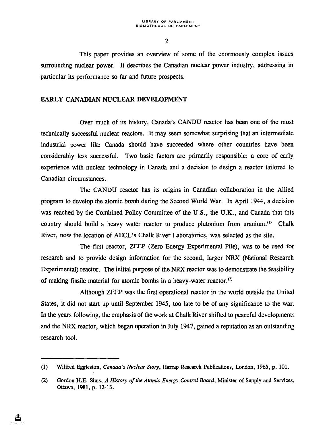This paper provides an overview of some of the enormously complex issues surrounding nuclear power. It describes the Canadian nuclear power industry, addressing in particular its performance so far and future prospects.

### EARLY CANADIAN NUCLEAR DEVELOPMENT

Over much of its history, Canada's CANDU reactor has been one of the most technically successful nuclear reactors. It may seem somewhat surprising that an intermediate industrial power like Canada should have succeeded where other countries have been considerably less successful. Two basic factors are primarily responsible: a core of early experience with nuclear technology in Canada and a decision to design a reactor tailored to Canadian circumstances.

The CANDU reactor has its origins in Canadian collaboration in the Allied program to develop the atomic bomb during the Second World War. In April 1944, a decision was reached by the Combined Policy Committee of the U.S., the U.K., and Canada that this country should build a heavy water reactor to produce plutonium from uranium.<sup>(1)</sup> Chalk River, now the location of AECL's Chalk River Laboratories, was selected as the site.

The first reactor, ZEEP (Zero Energy Experimental Pile), was to be used for research and to provide design information for the second, larger NRX (National Research Experimental) reactor. The initial purpose of the NRX reactor was to demonstrate the feasibility of making fissile material for atomic bombs in a heavy-water reactor.<sup> $(2)$ </sup>

Although ZEEP was the first operational reactor in the world outside the United States, it did not start up until September 1945, too late to be of any significance to the war. In the years following, the emphasis of the work at Chalk River shifted to peaceful developments and the NRX reactor, which began operation in July 1947, gained a reputation as an outstanding research tool.

<sup>(1)</sup> Wilfred Eggleston, *Canada's Nuclear Story,* Harrap Research Publications, London, 1965, p. 101.

<sup>(2)</sup> Gordon H.E. Sims, *A History of the Atomic Energy Control Board,* Minister of Supply and Services, Ottawa, 1981, p. 12-13.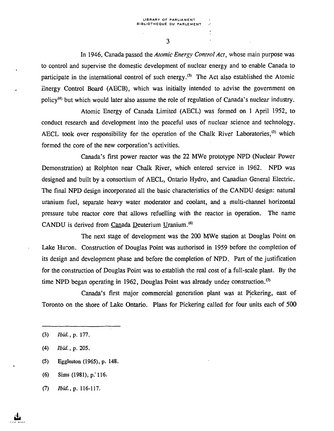In 1946, Canada passed the *Atomic Energy Control Act,* whose main purpose was to control and supervise the domestic development of nuclear energy and to enable Canada to participate in the international control of such energy.<sup>(3)</sup> The Act also established the Atomic Energy Control Board (AECB), which was initially intended to advise the government on policy<sup>(4)</sup> but which would later also assume the role of regulation of Canada's nuclear industry.

Atomic Energy of Canada Limited (AECL) was formed on 1 April 1952, to conduct research and development into the peaceful uses of nuclear science and technology. AECL took over responsibility for the operation of the Chalk River Laboratories,<sup>(5)</sup> which formed the core of the new corporation's activities.

Canada's first power reactor was the 22 MWe prototype NPD (Nuclear Power Demonstration) at Rolphton near Chalk River, which entered service in 1962. NPD was designed and built by a consortium of AECL, Ontario Hydro, and Canadian General Electric. The final NPD design incorporated all the basic characteristics of the CANDU design: natural uranium fuel, separate heavy water moderator and coolant, and a multi-channel horizontal pressure tube reactor core that allows refuelling with the reactor in operation. The name CANDU is derived from Canada Deuterium Uranium.<sup>(6)</sup>

The next stage of development was the 200 MWe station at Douglas Point on Lake Huron. Construction of Douglas Point was authorised in 1959 before the completion of its design and development phase and before the completion of NPD. Part of the justification for the construction of Douglas Point was to establish the real cost of a full-scale plant. By the time NPD began operating in 1962, Douglas Point was already under construction.<sup> $\sigma$ </sup>

Canada's first major commercial generation plant was at Pickering, east of Toronto on the shore of Lake Ontario. Plans for Pickering called for four units each of 500

- (5) Eggleston (1965), p. 148.
- $(6)$  Sims  $(1981)$ , p.' 116.
- (7) *Ibid., p.* 116-117.

<sup>(3)</sup> *Ibid., p.* 177.

<sup>(4)</sup> *Ibid.,* p. 205.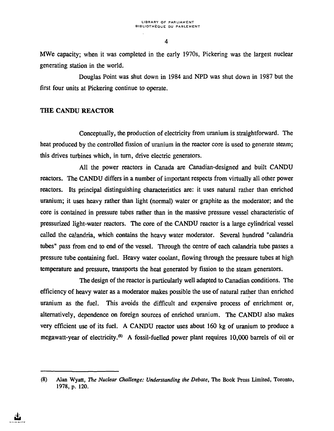MWe capacity; when it was completed in the early 1970s, Pickering was the largest nuclear generating station in the world.

Douglas Point was shut down in 1984 and NPD was shut down in 1987 but the first four units at Pickering continue to operate.

#### **THE CANDU REACTOR**

Conceptually, the production of electricity from uranium is straightforward. The heat produced by the controlled fission of uranium in the reactor core is used to generate steam; this drives turbines which, in turn, drive electric generators.

All the power reactors in Canada are Canadian-designed and built CANDU reactors. The CANDU differs in a number of important respects from virtually all other power reactors. Its principal distinguishing characteristics are: it uses natural rather than enriched uranium; it uses heavy rather than light (normal) water or graphite as the moderator; and the core is contained in pressure tubes rather than in the massive pressure vessel characteristic of pressurized light-water reactors. The core of the CANDU reactor is a large cylindrical vessel called the calandria, which contains the heavy water moderator. Several hundred "calandria tubes" pass from end to end of the vessel. Through the centre of each calandria tube passes a pressure tube containing fuel. Heavy water coolant, flowing through the pressure tubes at high temperature and pressure, transports the heat generated by fission to the steam generators.

The design of the reactor is particularly well adapted to Canadian conditions. The efficiency of heavy water as a moderator makes possible the use of natural rather than enriched uranium as the fuel. This avoids the difficult and expensive process of enrichment or, alternatively, dependence on foreign sources of enriched uranium. The CANDU also makes very efficient use of its fuel. A CANDU reactor uses about 160 kg of uranium to produce a megawatt-year of electricity.<sup>(8)</sup> A fossil-fuelled power plant requires 10,000 barrels of oil or

<sup>(8)</sup> Alan Wyatt, *The Nuclear Challenge: Understanding the Debate,* The Book Press Limited, Toronto, 1978, p. 120.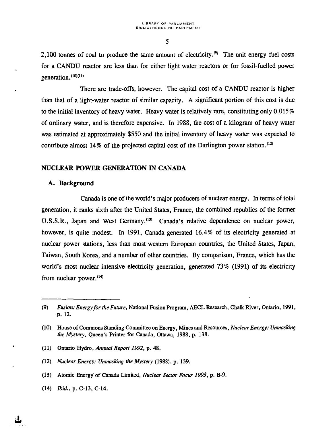2,100 tonnes of coal to produce the same amount of electricity.<sup> $(9)$ </sup> The unit energy fuel costs for a CANDU reactor are less than for either light water reactors or for fossil-fuelled power generation.<sup>(10)(11)</sup>

There are trade-offs, however. The capital cost of a CANDU reactor is higher than that of a light-water reactor of similar capacity. A significant portion of this cost is due to the initial inventory of heavy water. Heavy water is relatively rare, constituting only 0.015% of ordinary water, and is therefore expensive. In 1988, the cost of a kilogram of heavy water was estimated at approximately \$550 and the initial inventory of heavy water was expected to contribute almost 14% of the projected capital cost of the Darlington power station.<sup>(12)</sup>

#### **NUCLEAR POWER GENERATION IN CANADA**

#### **A. Background**

Canada is one of the world's major producers of nuclear energy. In terms of total generation, it ranks sixth after the United States, France, the combined republics of the former U.S.S.R., Japan and West Germany.<sup>(13)</sup> Canada's relative dependence on nuclear power, however, is quite modest. In 1991, Canada generated 16.4% of its electricity generated at nuclear power stations, less than most western European countries, the United States, Japan, Taiwan, South Korea, and a number of other countries. By comparison, France, which has the world's most nuclear-intensive electricity generation, generated 73% (1991) of its electricity from nuclear power.<sup>(14)</sup>

- (11) Ontario Hydro, *Annual Report 1992,* p. 48.
- (12) *Nuclear Energy: Unmasking the Mystery* (1988), p. 139.
- (13) Atomic Energy of Canada Limited, *Nuclear Sector Focus 1993,* p. B-9.
- (14) *Ibid., p.* C-13, C-14.

<sup>(9)</sup> *Fusion: Energy for the Future,* National Fusion Program, AECL Research, Chalk River, Ontario, 1991, p. 12.

<sup>(10)</sup> House of Commons Standing Committee on Energy, Mines and Resources, *Nuclear Energy: Unmasking the Mystery,* Queen's Printer for Canada, Ottawa, 1988, p. 138.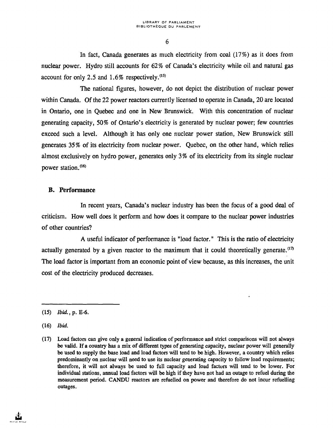In fact, Canada generates as much electricity from coal (17%) as it does from nuclear power. Hydro still accounts for 62% of Canada's electricity while oil and natural gas account for only 2.5 and  $1.6\%$  respectively.<sup>(15)</sup>

The national figures, however, do not depict the distribution of nuclear power within Canada. Of the 22 power reactors currently licensed to operate in Canada, 20 are located in Ontario, one in Quebec and one in New Brunswick. With this concentration of nuclear generating capacity, 50% of Ontario's electricity is generated by nuclear power; few countries exceed such a level. Although it has only one nuclear power station, New Brunswick still generates 35% of its electricity from nuclear power. Quebec, on the other hand, which relies almost exclusively on hydro power, generates only 3% of its electricity from its single nuclear power station.<sup>(16)</sup>

#### B. Performance

In recent years, Canada's nuclear industry has been the focus of a good deal of criticism. How well does it perform and how does it compare to the nuclear power industries of other countries?

A useful indicator of performance is "load factor. " This is the ratio of electricity actually generated by a given reactor to the maximum that it could theoretically generate.<sup> $(17)$ </sup> The load factor is important from an economic point of view because, as this increases, the unit cost of the electricity produced decreases.

(15) *Ibid., p.* E-6.

(16) *Ibid.*

<sup>(17)</sup> Load factors can give only a general indication of performance and strict comparisons will not always be valid. If a country has a mix of different types of generating capacity, nuclear power will generally be used to supply the base load and load factors will tend to be high. However, a country which relies predominantly on nuclear will need to use its nuclear generating capacity to follow load requirements; therefore, it will not always be used to full capacity and load factors will tend to be lower. For individual stations, annual load factors will be high if they have not had an outage to refuel during the measurement period. CANDU reactors are refuelled on power and therefore do not incur refuelling outages.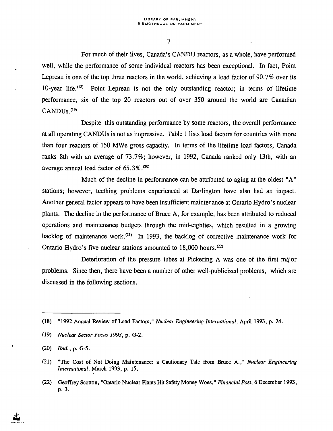For much of their lives, Canada's CANDU reactors, as a whole, have performed well, while the performance of some individual reactors has been exceptional. In fact, Point Lepreau is one of the top three reactors in the world, achieving a load factor of 90.7% over its 10-year life.<sup>(18)</sup> Point Lepreau is not the only outstanding reactor; in terms of lifetime performance, six of the top 20 reactors out of over 350 around the world are Canadian CANDU<sub>s.(19)</sub>

Despite this outstanding performance by some reactors, the overall performance at all operating CANDUs is not as impressive. Table 1 lists load factors for countries with more than four reactors of 150 MWe gross capacity. In terms of the lifetime load factors, Canada ranks 8th with an average of 73.7%; however, in 1992, Canada ranked only 13th, with an average annual load factor of  $65.3\%$ .<sup> $20$ </sup>

Much of the decline in performance can be attributed to aging at the oldest "A" stations; however, teething problems experienced at Darlington have also had an impact. Another general factor appears to have been insufficient maintenance at Ontario Hydro's nuclear plants. The decline in the performance of Bruce A, for example, has been attributed to reduced operations and maintenance budgets through the mid-eighties, which resulted in a growing backlog of maintenance work.<sup>(21)</sup> In 1993, the backlog of corrective maintenance work for Ontario Hydro's five nuclear stations amounted to 18,000 hours.<sup>(22)</sup>

Deterioration of the pressure tubes at Pickering A was one of the first major problems. Since then, there have been a number of other well-publicized problems, which are discussed in the following sections.

(19) *Nuclear Sector Focus 1993,* p. G-2.

<sup>(18) &</sup>quot;1992 Annual Review of Load Factors," *Nuclear Engineering International,* April 1993, p. 24.

<sup>(20)</sup> *Ibid., p.* G-5.

<sup>(21) &</sup>quot;The Cost of Not Doing Maintenance: a Cautionary Tale from Bruce A.," *Nuclear Engineering International,* March 1993, p. 15.

<sup>(22)</sup> Geoffrey Scotton, "Ontario Nuclear Plants Hit Safety Money Woes, " *Financial Post,* 6 December 1993, p. 3.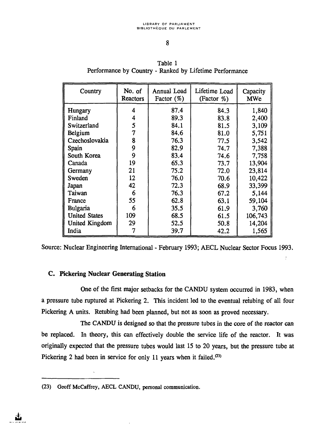| Table 1                                                 |  |  |  |  |  |  |
|---------------------------------------------------------|--|--|--|--|--|--|
| Performance by Country - Ranked by Lifetime Performance |  |  |  |  |  |  |

| Country              | No. of<br><b>Reactors</b> | <b>Annual Load</b><br>Factor $(\%)$ | Lifetime Load<br>(Factor $\%$ ) | Capacity<br><b>MWe</b> |
|----------------------|---------------------------|-------------------------------------|---------------------------------|------------------------|
| Hungary              | 4                         | 87.4                                | 84.3                            | 1,840                  |
| Finland              | 4                         | 89.3                                | 83.8                            | 2,400                  |
| Switzerland          | 5                         | 84.1                                | 81.5                            | 3,109                  |
| Belgium              | $\overline{7}$            | 84.6                                | 81.0                            | 5,751                  |
| Czechoslovakia       | 8                         | 76.3                                | 77.5                            | 3,542                  |
| Spain                | 9                         | 82.9                                | 74.7                            | 7,388                  |
| South Korea          | 9                         | 83.4                                | 74.6                            | 7,758                  |
| Canada               | 19                        | 65.3                                | 73.7                            | 13,904                 |
| Germany              | 21                        | 75.2                                | 72.0                            | 23,814                 |
| Sweden               | 12                        | 76.0                                | 70.6                            | 10,422                 |
| Japan                | 42                        | 72.3                                | 68.9                            | 33,399                 |
| Taiwan               | 6                         | 76.3                                | 67.2                            | 5,144                  |
| France               | 55                        | 62.8                                | 63.1                            | 59,104                 |
| <b>Bulgaria</b>      | 6                         | 35.5                                | 61.9                            | 3,760                  |
| <b>United States</b> | 109                       | 68.5                                | 61.5                            | 106,743                |
| United Kingdom       | 29                        | 52.5                                | 50.8                            | 14,204                 |
| India                | 7                         | 39.7                                | 42.2                            | 1,565                  |

Source: Nuclear Engineering International - February 1993; AECL Nuclear Sector Focus 1993.

## **C. Pickering Nuclear Generating Station**

One of the first major setbacks for the CANDU system occurred in 1983, when a pressure tube ruptured at Pickering 2. This incident led to the eventual retubing of all four Pickering A units. Retubing had been planned, but not as soon as proved necessary.

The CANDU is designed so that the pressure tubes in the core of the reactor can be replaced. In theory, this can effectively double the service life of the reactor. It was originally expected that the pressure tubes would last 15 to 20 years, but the pressure tube at Pickering 2 had been in service for only 11 years when it failed.<sup> $(23)$ </sup>

<sup>(23)</sup> Geoff McCaffrey, AECL CANDU, personal communication.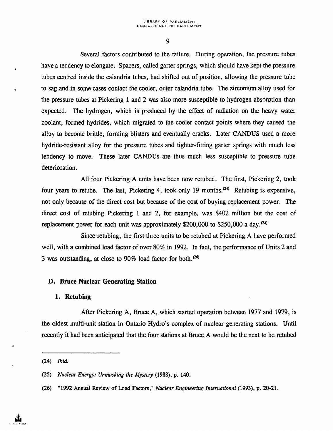Several factors contributed to the failure. During operation, the pressure tubes have a tendency to elongate. Spacers, called garter springs, which should have kept the pressure tubes centred inside the calandria tubes, had shifted out of position, allowing the pressure tube to sag and in some cases contact the cooler, outer calandria tube. The zirconium alloy used for the pressure tubes at Pickering 1 and 2 was also more susceptible to hydrogen absorption than expected. The hydrogen, which is produced by the effect of radiation on the heavy water coolant, formed hydrides, which migrated to the cooler contact points where they caused the alloy to become brittle, forming blisters and eventually cracks. Later CANDUS used a more hydride-resistant alloy for the pressure tubes and tighter-fitting garter springs with much less tendency to move. These later CANDUs are thus much less susceptible to pressure tube deterioration.

All four Pickering A units have been now retubed. The first, Pickering 2, took four years to retube. The last, Pickering 4, took only 19 months.<sup> $(24)$ </sup> Retubing is expensive, not only because of the direct cost but because of the cost of buying replacement power. The direct cost of retubing Pickering 1 and 2, for example, was \$402 million but the cost of replacement power for each unit was approximately \$200,000 to \$250,000 a day.<sup> $(25)$ </sup>

Since retubing, the first three units to be retubed at Pickering A have performed well, with a combined load factor of over 80% in 1992. In fact, the performance of Units 2 and 3 was outstanding, at close to 90% load factor for both.<sup> $(26)$ </sup>

#### **D. Bruce Nuclear Generating Station**

#### **1. Retubing**

After Pickering A, Bruce A, which started operation between 1977 and 1979, is the oldest multi-unit station in Ontario Hydro's complex of nuclear generating stations. Until recently it had been anticipated that the four stations at Bruce A would be the next to be retubed

<sup>(24)</sup> *Ibid.*

<sup>(25)</sup> *Nuclear Energy: Unmasking the Mystery* (1988), p. 140.

<sup>(26) &</sup>quot;1992 Annual Review of Load Factors," *Nuclear Engineering International* (1993), p. 20-21.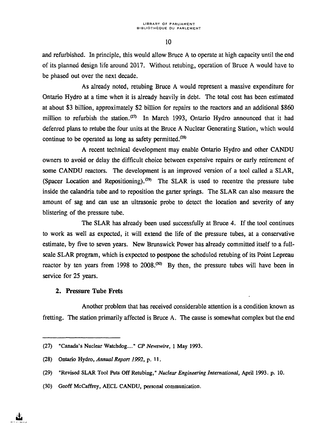and refurbished. In principle, this would allow Bruce A to operate at high capacity until the end of its planned design life around 2017. Without retubing, operation of Bruce A would have to be phased out over the next decade.

As already noted, retubing Bruce A would represent a massive expenditure for Ontario Hydro at a time when it is already heavily in debt. The total cost has been estimated at about \$3 billion, approximately \$2 billion for repairs to the reactors and an additional \$860 million to refurbish the station.<sup> $(27)$ </sup> In March 1993, Ontario Hydro announced that it had deferred plans to retube the four units at the Bruce A Nuclear Generating Station, which would continue to be operated as long as safety permitted. $^{(28)}$ 

A recent technical development may enable Ontario Hydro and other CANDU owners to avoid or delay the difficult choice between expensive repairs or early retirement of some CANDU reactors. The development is an improved version of a tool called a SLAR, (Spacer Location and Repositioning).<sup>(29)</sup> The SLAR is used to recentre the pressure tube inside the calandria tube and to reposition the garter springs. The SLAR can also measure the amount of sag and can use an ultrasonic probe to detect the location and severity of any blistering of the pressure tube.

The SLAR has already been used successfully at Bruce 4. If the tool continues to work as well as expected, it will extend the life of the pressure tubes, at a conservative estimate, by five to seven years. New Brunswick Power has already committed itself to a fullscale SLAR program, which is expected to postpone the scheduled retubing of its Point Lepreau reactor by ten years from 1998 to  $2008$ .<sup> $30$ </sup> By then, the pressure tubes will have been in service for 25 years.

#### 2. Pressure Tube Frets

Another problem that has received considerable attention is a condition known as fretting. The station primarily affected is Bruce A. The cause is somewhat complex but the end

<sup>(27) &</sup>quot;Canada's Nuclear Watchdog..." *CP Newswire,* 1 May 1993.

<sup>(28)</sup> Ontario Hydro, *Annual Report 1992,* p. 11.

<sup>(29) &</sup>quot;Revised SLAR Tool Puts Off Retubing, " *Nuclear Engineering International,* April 1993. p. 10.

<sup>(30)</sup> Geoff McCaffrey, AECL CANDU, personal communication.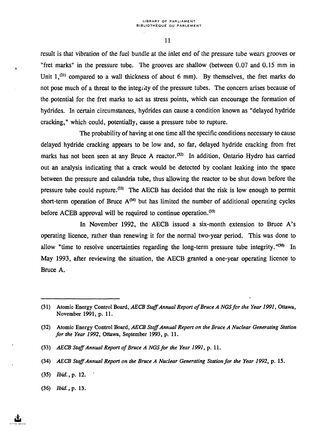result is that vibration of the fuel bundle at the inlet end of the pressure tube wears grooves or "fret marks" in the pressure tube. The grooves are shallow (between 0.07 and 0.15 mm in Unit  $1,^{(31)}$  compared to a wall thickness of about 6 mm). By themselves, the fret marks do not pose much of a threat to the integrity of the pressure tubes. The concern arises because of the potential for the fret marks to act as stress points, which can encourage the formation of hydrides. In certain circumstances, hydrides can cause a condition known as "delayed hydride cracking," which could, potentially, cause a pressure tube to rupture.

The probability of having at one time all the specific conditions necessary to cause delayed hydride cracking appears to be low and, so far, delayed hydride cracking from fret marks has not been seen at any Bruce A reactor.<sup>(32)</sup> In addition, Ontario Hydro has carried out an analysis indicating that a crack would be detected by coolant leaking into the space between the pressure and calandria tube, thus allowing the reactor to be shut down before the pressure tube could rupture.<sup> $(33)$ </sup> The AECB has decided that the risk is low enough to permit short-term operation of Bruce  $A^{(34)}$  but has limited the number of additional operating cycles before ACEB approval will be required to continue operation. $^{(35)}$ 

In November 1992, the AECB issued a six-month extension to Bruce A's operating licence, rather than renewing it for the normal two-year period. This was done to allow "time to resolve uncertainties regarding the long-term pressure tube integrity."<sup>(36)</sup> In May 1993, after reviewing the situation, the AECB granted a one-year operating licence to Bruce A.

(36) *Ibid., p.* 13.

<sup>(31)</sup> Atomic Energy Control Board, *AECB Staff Annual Report of Bruce A NGSfor the Year 1991,* Ottawa, November 1991, p. 11.

<sup>(32)</sup> Atomic Energy Control Board, *AECB Staff Annual Report on the Bruce A Nuclear Generating Station for the Year 1992,* Ottawa, September 1993, p. 11.

<sup>(33)</sup> AECB Staff Annual Report of Bruce A NGS for the Year 1991, p. 11.

<sup>(34)</sup> *AECB Staff Annual Report on the Bruce A Nuclear Generating Station for the Year 1992,* p. 15.

<sup>(35)</sup> *Ibid.,* p. 12. '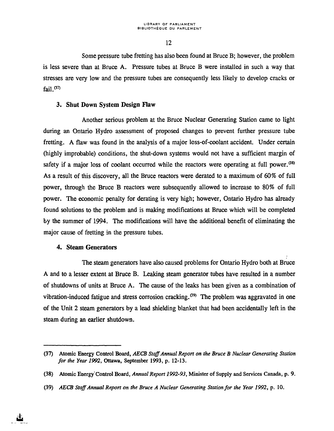Some pressure tube fretting has also been found at Bruce B; however, the problem is less severe than at Bruce A. Pressure tubes at Bruce B were installed in such a way that stresses are very low and the pressure tubes are consequently less likely to develop cracks or fail. $(37)$ 

## **3. Shut Down System Design Flaw**

Another serious problem at the Bruce Nuclear Generating Station came to light during an Ontario Hydro assessment of proposed changes to prevent further pressure tube fretting. A flaw was found in the analysis of a major loss-of-coolant accident. Under certain (highly improbable) conditions, the shut-down systems would not have a sufficient margin of safety if a major loss of coolant occurred while the reactors were operating at full power.<sup> $(38)$ </sup> As a result of this discovery, all the Bruce reactors were derated to a maximum of 60% of full power, through the Bruce B reactors were subsequently allowed to increase to 80% of full power. The economic penalty for derating is very high; however, Ontario Hydro has already found solutions to the problem and is making modifications at Bruce which will be completed by the summer of 1994. The modifications will have the additional benefit of eliminating the major cause of fretting in the pressure tubes.

#### **4. Steam Generators**

The steam generators have also caused problems for Ontario Hydro both at Bruce A and to a lesser extent at Bruce B. Leaking steam generator tubes have resulted in a number of shutdowns of units at Bruce A. The cause of the leaks has been given as a combination of vibration-induced fatigue and stress corrosion cracking.<sup>(39)</sup> The problem was aggravated in one of the Unit 2 steam generators by a lead shielding blanket that had been accidentally left in the steam during an earlier shutdown.

<sup>(37)</sup> Atomic Energy Control Board, *AECB Staff Annual Report on the Bruce B Nuclear Generating Station for the Year 1992,* Ottawa, September 1993, p. 12-13.

<sup>(38)</sup> Atomic Energy'Control Board, *Annual Report 1992-93,* Minister of Supply and Services Canada, p. 9.

<sup>(39)</sup> *AECB Staff Annual Report on the Bruce A Nuclear Generating Station for the Year 1992,* p. 10.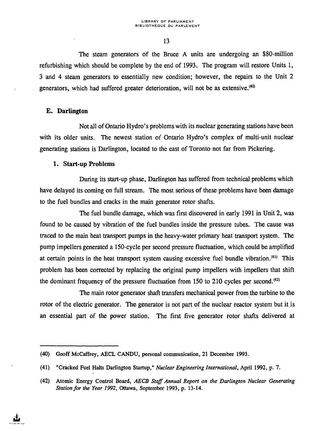The steam generators of the Bruce A units are undergoing an \$80-million refurbishing which should be complete by the end of 1993. The program will restore Units 1, 3 and 4 steam generators to essentially new condition; however, the repairs to the Unit 2 generators, which had suffered greater deterioration, will not be as extensive.<sup>(40)</sup>

## **£. Darlington**

Not all of Ontario Hydro's problems with its nuclear generating stations have been with its older units. The newest station of Ontario Hydro's complex of multi-unit nuclear generating stations is Darlington, located to the east of Toronto not far from Pickering.

## **1. Start-up Problems**

During its start-up phase, Darlington has suffered from technical problems which have delayed its coming on full stream. The most serious of these problems have been damage to the fuel bundles and cracks in the main generator rotor shafts.

The fuel bundle damage, which was first discovered in early 1991 in Unit 2, was found to be caused by vibration of the fuel bundles inside the pressure tubes. The cause was traced to the main heat transport pumps in the heavy-water primary heat transport system. The pump impellers generated a 150-cycle per second pressure fluctuation, which could be amplified at certain points in the heat transport system causing excessive fuel bundle vibration.<sup>(41)</sup> This problem has been corrected by replacing the original pump impellers with impellers that shift the dominant frequency of the pressure fluctuation from 150 to 210 cycles per second.<sup>(42)</sup>

The main rotor generator shaft transfers mechanical power from the turbine to the rotor of the electric generator. The generator is not part of the nuclear reactor system but it is an essential part of the power station. The first five generator rotor shafts delivered at

<sup>(40)</sup> Geoff McCaffrey, AECL CANDU, personal communication, 21 December 1993.

<sup>(41) &</sup>quot;Cracked Fuel Halts Darlington Startup," *Nuclear Engineering International,* April 1992, p. 7.

<sup>(42)</sup> Atomic Energy Control Board, *AECB Staff Annual Report on the Darlington Nuclear Generating Station for the Year 1992,* Ottawa, September 1993, p. 13-14.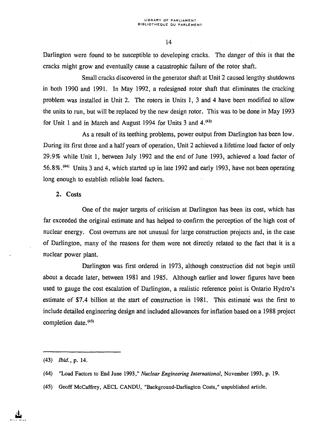Darlington were found to be susceptible to developing cracks. The danger of this is that the cracks might grow and eventually cause a catastrophic failure of the rotor shaft.

Small cracks discovered in the generator shaft at Unit 2 caused lengthy shutdowns in both 1990 and 1991. In May 1992, a redesigned rotor shaft that eliminates the cracking problem was installed in Unit 2. The rotors in Units 1, 3 and 4 have been modified to allow the units to run, but will be replaced by the new design rotor. This was to be done in May 1993 for Unit 1 and in March and August 1994 for Units 3 and  $4^{(43)}$ .

As a result of its teething problems, power output from Darlington has been low. During its first three and a half years of operation, Unit 2 achieved a lifetime load factor of only 29.9% while Unit 1, between July 1992 and the end of June 1993, achieved a load factor of 56.8%.<sup>(44)</sup> Units 3 and 4, which started up in late 1992 and early 1993, have not been operating long enough to establish reliable load factors.

#### 2. Costs

One of the major targets of criticism at Darlington has been its cost, which has far exceeded the original estimate and has helped to confirm the perception of the high cost of nuclear energy. Cost overruns are not unusual for large construction projects and, in the case of Darlington, many of the reasons for them were not directly related to the fact that it is a nuclear power plant.

Darlington was first ordered in 1973, although construction did not begin until about a decade later, between 1981 and 1985. Although earlier and lower figures have been used to gauge the cost escalation of Darlington, a realistic reference point is Ontario Hydro's estimate of \$7.4 billion at the start of construction in 1981. This estimate was the first to include detailed engineering design and included allowances for inflation based on a 1988 project completion date.<sup>(45)</sup>

(45) Geoff McCaffrey, AECL CANDU, "Background-Darlington Costs," unpublished article.

<sup>(43)</sup> *Ibid.,* p. 14.

<sup>(44) &</sup>quot;Load Factors to End June 1993," *Nuclear Engineering International,* November 1993, p. 19.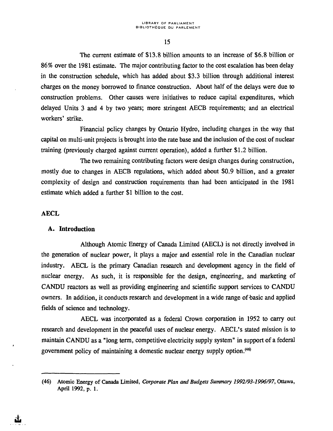The current estimate of \$13.8 billion amounts to an increase of \$6.8 billion or 86% over the 1981 estimate. The major contributing factor to the cost escalation has been delay in the construction schedule, which has added about \$3.3 billion through additional interest charges on the money borrowed to finance construction. About half of the delays were due to construction problems. Other causes were initiatives to reduce capital expenditures, which delayed Units 3 and 4 by two years; more stringent AECB requirements; and an electrical workers' strike.

Financial policy changes by Ontario Hydro, including changes in the way that capital on multi-unit projects is brought into the rate base and the inclusion of the cost of nuclear training (previously charged against current operation), added a further \$1.2 billion.

The two remaining contributing factors were design changes during construction, mostly due to changes in AECB regulations, which added about \$0.9 billion, and a greater complexity of design and construction requirements than had been anticipated in the 1981 estimate which added a further \$1 billion to the cost.

#### **AECL**

#### **A. Introduction**

Although Atomic Energy of Canada Limited (AECL) is not directly involved in the generation of nuclear power, it plays a major and essential role in the Canadian nuclear industry. AECL is the primary Canadian research and development agency in the field of nuclear energy. As such, it is responsible for the design, engineering, and marketing of CANDU reactors as well as providing engineering and scientific support services to CANDU owners. In addition, it conducts research and development in a wide range of-basic and applied fields of science and technology.

AECL was incorporated as a federal Crown corporation in 1952 to carry out research and development in the peaceful uses of nuclear energy. AECL's stated mission is to maintain CANDU as a "long term, competitive electricity supply system" in support of a federal government policy of maintaining a domestic nuclear energy supply option.<sup>(46)</sup>

<sup>(46)</sup> Atomic Energy of Canada Limited, *Corporate Plan and Budgets Summary 1992/93-1996/97,* Ottawa, April 1992, p. 1.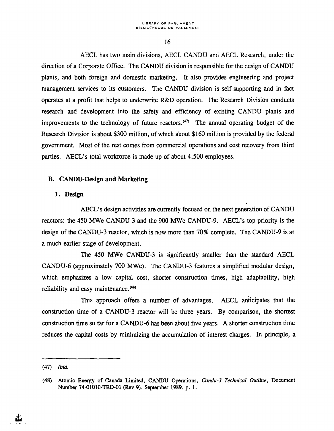AECL has two main divisions, AECL CANDU and AECL Research, under the direction of a Corporate Office. The CANDU division is responsible for the design of CANDU plants, and both foreign and domestic marketing. It also provides engineering and project management services to its customers. The CANDU division is self-supporting and in fact operates at a profit that helps to underwrite R&D operation. The Research Division conducts research and development into the safety and efficiency of existing CANDU plants and improvements to the technology of future reactors.<sup>(47)</sup> The annual operating budget of the Research Division is about \$300 million, of which about \$160 million is provided by the federal government. Most of the rest comes from commercial operations and cost recovery from third parties. AECL's total workforce is made up of about 4,500 employees.

## B. CANDU-Design **and Marketing**

#### 1. **Design**

AECL's design activities are currently focused on the next generation of CANDU reactors: the 450 MWe CANDU-3 and the 900 MWe CANDU-9. AECL's top priority is the design of the CANDU-3 reactor, which is now more than 70% complete. The CANDU-9 is at a much earlier stage of development.

The 450 MWe CANDU-3 is significantly smaller than the standard AECL CANDU-6 (approximately 700 MWe). The CANDU-3 features a simplified modular design, which emphasizes a low capital cost, shorter construction times, high adaptability, high reliability and easy maintenance. $(48)$ 

This approach offers a number of advantages. AECL anticipates that the construction time of a CANDU-3 reactor will be three years. By comparison, the shortest construction time so far for a CANDU-6 has been about five years. A shorter construction time reduces the capital costs by minimizing the accumulation of interest charges. In principle, a

<sup>(47)</sup> *Ibid.*

<sup>(48)</sup> Atomic Energy of Canada Limited, CANDU Operations, *Candu-3 Technical Outline,* Document Number 74-O1010-TED-O1 (Rev 9), September 1989, p. 1.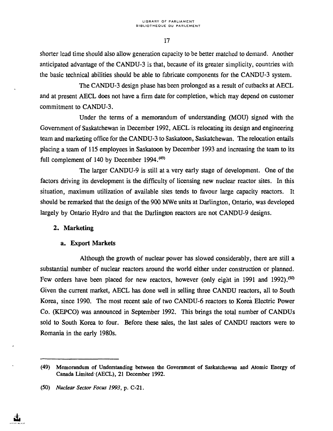shorter lead time should also allow generation capacity to be better matched to demand. Another anticipated advantage of the CANDU-3 is that, because of its greater simplicity, countries with the basic technical abilities should be able to fabricate components for the CANDU-3 system.

The CANDU-3 design phase has been prolonged as a result of cutbacks at AECL and at present AECL does not have a firm date for completion, which may depend on customer commitment to CANDU-3.

Under the terms of a memorandum of understanding (MOU) signed with the Government of Saskatchewan in December 1992, AECL is relocating its design and engineering team and marketing office for the CANDU-3 to Saskatoon, Saskatchewan. The relocation entails placing a team of 115 employees in Saskatoon by December 1993 and increasing the team to its full complement of 140 by December 1994.<sup>(49)</sup>

The larger CANDU-9 is still at a very early stage of development. One of the factors driving its development is the difficulty of licensing new nuclear reactor sites. In this situation, maximum utilization of available sites tends to favour large capacity reactors. It should be remarked that the design of the 900 MWe units at Darlington, Ontario, was developed largely by Ontario Hydro and that the Darlington reactors are not CANDU-9 designs.

## **2. Marketing**

#### **a. Export Markets**

Although the growth of nuclear power has slowed considerably, there are still a substantial number of nuclear reactors around the world either under construction or planned. Few orders have been placed for new reactors, however (only eight in 1991 and 1992).<sup>(50)</sup> Given the current market, AECL has done well in selling three CANDU reactors, all to South Korea, since 1990. The most recent sale of two CANDU-6 reactors to Korea Electric Power Co. (KEPCO) was announced in September 1992. This brings the total number of CANDUs sold to South Korea to four. Before these sales, the last sales of CANDU reactors were to Romania in the early 1980s.

<sup>(49)</sup> Memorandum of Understanding between the Government of Saskatchewan and Atomic Energy of Canada Limited (AECL), 21 December 1992.

<sup>(50)</sup> *Nuclear Sector Focus 1993,* p. C-21.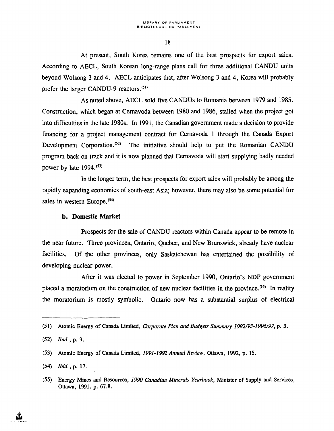At present, South Korea remains one of the best prospects for export sales. According to AECL, South Korean long-range plans call for three additional CANDU units beyond Wolsong 3 and 4. AECL anticipates that, after Wolsong 3 and 4, Korea will probably prefer the larger CANDU-9 reactors.<sup>(51)</sup>

As noted above, AECL sold five CANDUs to Romania between 1979 and 1985. Construction, which began at Cernavoda between 1980 and 1986, stalled when the project got into difficulties in the late 1980s. In 1991, the Canadian government made a decision to provide financing for a project management contract for Cernavoda 1 through the Canada Export Development Corporation.<sup>(52)</sup> The initiative should help to put the Romanian CANDU program back on track and it is now planned that Cernavoda will start supplying badly needed power by late  $1994$ .<sup> $(53)$ </sup>

In the longer term, the best prospects for export sales will probably be among the rapidly expanding economies of south-east Asia; however, there may also be some potential for sales in western Europe.<sup>(54)</sup>

#### **b. Domestic Market**

Prospects for the sale of CANDU reactors within Canada appear to be remote in the near future. Three provinces, Ontario, Quebec, and New Brunswick, already have nuclear facilities. Of the other provinces, only Saskatchewan has entertained the possibility of developing nuclear power.

After it was elected to power in September 1990, Ontario's NDP government placed a moratorium on the construction of new nuclear facilities in the province.<sup>(55)</sup> In reality the moratorium is mostly symbolic. Ontario now has a substantial surplus of electrical

<sup>(51)</sup> Atomic Energy of Canada Limited, *Corporate Plan and Budgets Summary 1992/93-1996/97,* p. 3.

<sup>(52)</sup> *Ibid.,* p. 3.

<sup>(53)</sup> Atomic Energy of Canada Limited, *1991-1992 Annual Review,* Ottawa, 1992, p. 15.

<sup>(54)</sup> *Ibid.,-p.* 17.

*<sup>(55)</sup>* Energy Mines and Resources, *1990 Canadian Minerals Yearbook,* Minister of Supply and Services, Ottawa, 1991, p. 67.8.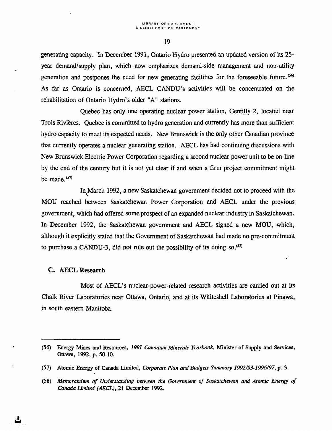generating capacity. In December 1991, Ontario Hydro presented an updated version of its 25 year demand/supply plan, which now emphasizes demand-side management and non-utility generation and postpones the need for new generating facilities for the foreseeable future.<sup>(56)</sup> As far as Ontario is concerned, AECL CANDU's activities will be concentrated on the rehabilitation of Ontario Hydro's older "A" stations.

Quebec has only one operating nuclear power station, Gentilly 2, located near Trois Rivières. Quebec is committed to hydro generation and currently has more than sufficient hydro capacity to meet its expected needs. New Brunswick is the only other Canadian province that currently operates a nuclear generating station. AECL has had continuing discussions with New Brunswick Electric Power Corporation regarding a second nuclear power unit to be on-line by the end of the century but it is not yet clear if and when a firm project commitment might be made. $(57)$ 

In March 1992, a new Saskatchewan government decided not to proceed with the MOU reached between Saskatchewan Power Corporation and AECL under the previous government, which had offered some prospect of an expanded nuclear industry in Saskatchewan. In December 1992, the Saskatchewan government and AECL signed a new MOU, which, although it explicitly stated that the Government of Saskatchewan had made no pre-commitment to purchase a CANDU-3, did not rule out the possibility of its doing so.<sup>(58)</sup>

 $\ddot{\cdot}$ 

#### C. AECL Research

Most of AECL's nuclear-power-related research activities are carried out at its Chalk River Laboratories near Ottawa, Ontario, and at its Whiteshell Laboratories at Pinawa, in south eastern Manitoba.

<sup>(56)</sup> Energy Mines and Resources, *1991 Canadian Minerals Yearbook,* Minister of Supply and Services, Ottawa, 1992, p. 50.10.

<sup>(57)</sup> Atomic Energy of Canada Limited, *Corporate Plan and Budgets Summary 1992/93-1996/97,* p. 3.

<sup>(58)</sup> *Memorandum of Understanding between the Government of Saskatchewan and Atomic Energy of Canada Limited (AECL),* 21 December 1992.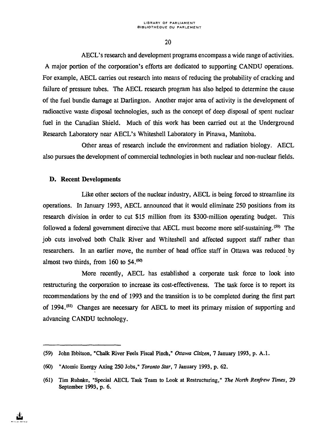AECL's research and development programs encompass a wide range of activities. A major portion of the corporation's efforts are dedicated to supporting CANDU operations. For example, AECL carries out research into means of reducing the probability of cracking and failure of pressure tubes. The AECL research program has also helped to determine the cause of the fuel bundle damage at Darlington. Another major area of activity is the development of radioactive waste disposal technologies, such as the concept of deep disposal of spent nuclear fuel in the Canadian Shield. Much of this work has been carried out at the Underground Research Laboratory near AECL's Whiteshell Laboratory in Pinawa, Manitoba.

Other areas of research include the environment and radiation biology. AECL also pursues the development of commercial technologies in both nuclear and non-nuclear fields.

## D. Recent Developments

Like other sectors of the nuclear industry, AECL is being forced to streamline its operations. In January 1993, AECL announced that it would eliminate 250 positions from its research division in order to cut \$15 million from its \$300-million operating budget. This followed a federal government directive that AECL must become more self-sustaining.<sup>(59)</sup> The job cuts involved both Chalk River and Whiteshell and affected support staff rather than researchers. In an earlier move, the number of head office staff in Ottawa was reduced by almost two thirds, from  $160$  to  $54.^{60}$ 

More recently, AECL has established a corporate task force to look into restructuring the corporation to increase its cost-effectiveness. The task force is to report its recommendations by the end of 1993 and the transition is to be completed during the first part of 1994.<sup>(61)</sup> Changes are necessary for AECL to meet its primary mission of supporting and advancing CANDU technology.

<sup>(59)</sup> John Ibbitson, "Chalk River Feels Fiscal Pinch," *Ottawa Citizen,* 7 January 1993, p. A.I.

<sup>(60) &</sup>quot;Atomic Energy Axing 250 Jobs," *Toronto Star,* 7 January 1993, p. 62.

<sup>(61)</sup> Tim Ruhnke, "Special AECL Task Team to Look at Restructuring," *The North Renfrew Times,* 29 September 1993, p. 6.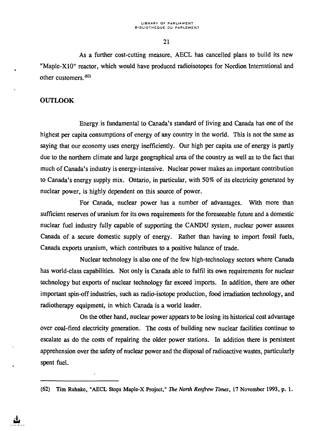As a further cost-cutting measure, AECL has cancelled plans to build its new "Maple-X10" reactor, which would have produced radioisotopes for Nordion International and other customers.<sup>(62)</sup>

#### **OUTLOOK**

Energy is fundamental to Canada's standard of living and Canada has one of the highest per capita consumptions of energy of any country in the world. This is not the same as saying that our economy uses energy inefficiently. Our high per capita use of energy is partly due to the northern climate and large geographical area of the country as well as to the fact that much of Canada's industry is energy-intensive. Nuclear power makes an important contribution to Canada's energy supply mix. Ontario, in particular, with 50% of its electricity generated by nuclear power, is highly dependent on this source of power.

For Canada, nuclear power has a number of advantages. With more than sufficient reserves of uranium for its own requirements for the foreseeable future and a domestic nuclear fuel industry fully capable of supporting the CANDU system, nuclear power assures Canada of a secure domestic supply of energy. Rather than having to import fossil fuels, Canada exports uranium, which contributes to a positive balance of trade.

Nuclear technology is also one of the few high-technology sectors where Canada has world-class capabilities. Not only is Canada able to fulfil its own requirements for nuclear technology but exports of nuclear technology far exceed imports. In addition, there are other important spin-off industries, such as radio-isotope production, food irradiation technology, and radiotherapy equipment, in which Canada is a world leader.

On the other hand, nuclear power appears to be losing its historical cost advantage over coal-fired electricity generation. The costs of building new nuclear facilities continue to escalate as do the costs of repairing the older power stations. In addition there is persistent apprehension over the safety of nuclear power and the disposal of radioactive wastes, particularly spent fuel.

<sup>(62)</sup> Tim Ruhnke, "AECL Stops Maple-X Project," *The North Renfrew Times,* 17 November 1993, p. 1.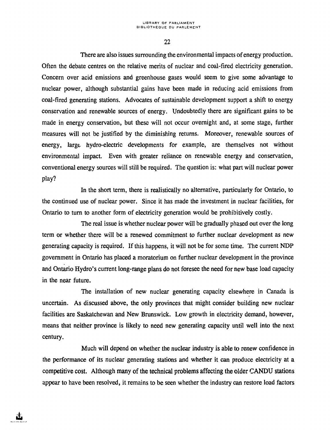There are also issues surrounding the environmental impacts of energy production. Often the debate centres on the relative merits of nuclear and coal-fired electricity generation. Concern over acid emissions and greenhouse gases would seem to give some advantage to nuclear power, although substantial gains have been made in reducing acid emissions from coal-fired generating stations. Advocates of sustainable development support a shift to energy conservation and renewable sources of energy. Undoubtedly there are significant gains to be made in energy conservation, but these will not occur overnight and, at some stage, further measures will not be justified by the diminishing returns. Moreover, renewable sources of energy, large- hydro-electric developments for example, are themselves not without environmental impact. Even with greater reliance on renewable energy and conservation, conventional energy sources will still be required. The question is: what part will nuclear power play?

In the short term, there is realistically no alternative, particularly for Ontario, to the continued use of nuclear power. Since it has made the investment in nuclear facilities, for Ontario to turn to another form of electricity generation would be prohibitively costly.

The real issue is whether nuclear power will be gradually phased out over the long term or whether there will be a renewed commitment to further nuclear development as new generating capacity is required. If this happens, it will not be for some time. The current NDP government in Ontario has placed a moratorium on further nuclear development in the province and Ontario Hydro's current long-range plans do not foresee the need for new base load capacity in the near future.

The installation of new nuclear generating capacity elsewhere in Canada is uncertain. As discussed above, the only provinces that might consider building new nuclear facilities are Saskatchewan and New Brunswick. Low growth in electricity demand, however, means that neither province is likely to need new generating capacity until well into the next century.

Much will depend on whether the nuclear industry is able to renew confidence in the performance of its nuclear generating stations and whether it can produce electricity at a competitive cost. Although many of the technical problems affecting the older CANDU stations appear to have been resolved, it remains to be seen whether the industry can restore load factors